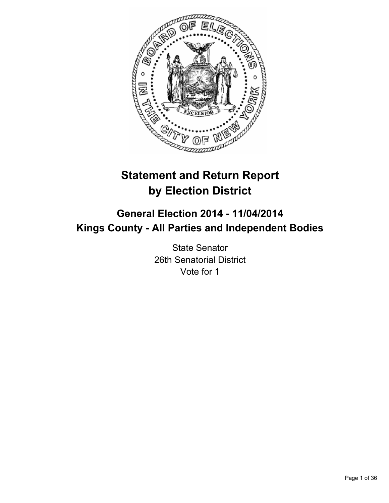

# **Statement and Return Report by Election District**

# **General Election 2014 - 11/04/2014 Kings County - All Parties and Independent Bodies**

State Senator 26th Senatorial District Vote for 1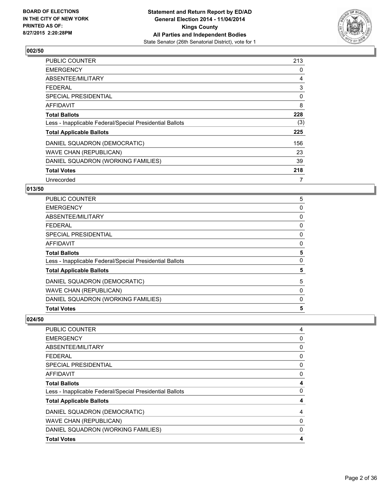

| PUBLIC COUNTER                                           | 213 |
|----------------------------------------------------------|-----|
| <b>EMERGENCY</b>                                         | 0   |
| ABSENTEE/MILITARY                                        | 4   |
| <b>FEDERAL</b>                                           | 3   |
| SPECIAL PRESIDENTIAL                                     | 0   |
| AFFIDAVIT                                                | 8   |
| <b>Total Ballots</b>                                     | 228 |
| Less - Inapplicable Federal/Special Presidential Ballots | (3) |
| <b>Total Applicable Ballots</b>                          | 225 |
| DANIEL SQUADRON (DEMOCRATIC)                             | 156 |
| <b>WAVE CHAN (REPUBLICAN)</b>                            | 23  |
| DANIEL SQUADRON (WORKING FAMILIES)                       | 39  |
| <b>Total Votes</b>                                       | 218 |
| Unrecorded                                               | 7   |

# **013/50**

| <b>Total Votes</b>                                       | 5 |
|----------------------------------------------------------|---|
| DANIEL SQUADRON (WORKING FAMILIES)                       | 0 |
| WAVE CHAN (REPUBLICAN)                                   | 0 |
| DANIEL SQUADRON (DEMOCRATIC)                             | 5 |
| <b>Total Applicable Ballots</b>                          | 5 |
| Less - Inapplicable Federal/Special Presidential Ballots | 0 |
| <b>Total Ballots</b>                                     | 5 |
| <b>AFFIDAVIT</b>                                         | 0 |
| SPECIAL PRESIDENTIAL                                     | 0 |
| <b>FEDERAL</b>                                           | 0 |
| ABSENTEE/MILITARY                                        | 0 |
| <b>EMERGENCY</b>                                         | 0 |
| <b>PUBLIC COUNTER</b>                                    | 5 |

| PUBLIC COUNTER                                           | 4 |
|----------------------------------------------------------|---|
| <b>EMERGENCY</b>                                         | 0 |
| ABSENTEE/MILITARY                                        | 0 |
| <b>FEDERAL</b>                                           | 0 |
| <b>SPECIAL PRESIDENTIAL</b>                              | 0 |
| <b>AFFIDAVIT</b>                                         | 0 |
| <b>Total Ballots</b>                                     | 4 |
| Less - Inapplicable Federal/Special Presidential Ballots | 0 |
| <b>Total Applicable Ballots</b>                          | 4 |
| DANIEL SQUADRON (DEMOCRATIC)                             | 4 |
| <b>WAVE CHAN (REPUBLICAN)</b>                            | 0 |
| DANIEL SQUADRON (WORKING FAMILIES)                       | 0 |
| <b>Total Votes</b>                                       | 4 |
|                                                          |   |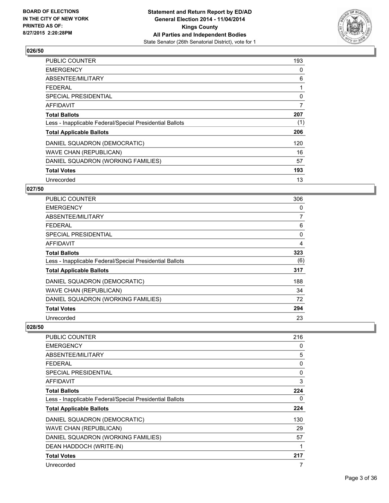

| <b>PUBLIC COUNTER</b>                                    | 193 |
|----------------------------------------------------------|-----|
| <b>EMERGENCY</b>                                         | 0   |
| ABSENTEE/MILITARY                                        | 6   |
| <b>FEDERAL</b>                                           | 1   |
| <b>SPECIAL PRESIDENTIAL</b>                              | 0   |
| <b>AFFIDAVIT</b>                                         | 7   |
| <b>Total Ballots</b>                                     | 207 |
| Less - Inapplicable Federal/Special Presidential Ballots | (1) |
| <b>Total Applicable Ballots</b>                          | 206 |
| DANIEL SQUADRON (DEMOCRATIC)                             | 120 |
| <b>WAVE CHAN (REPUBLICAN)</b>                            | 16  |
| DANIEL SQUADRON (WORKING FAMILIES)                       | 57  |
| <b>Total Votes</b>                                       | 193 |
| Unrecorded                                               | 13  |

# **027/50**

| <b>PUBLIC COUNTER</b>                                    | 306      |
|----------------------------------------------------------|----------|
| <b>EMERGENCY</b>                                         | 0        |
| ABSENTEE/MILITARY                                        | 7        |
| <b>FEDERAL</b>                                           | 6        |
| <b>SPECIAL PRESIDENTIAL</b>                              | $\Omega$ |
| AFFIDAVIT                                                | 4        |
| <b>Total Ballots</b>                                     | 323      |
| Less - Inapplicable Federal/Special Presidential Ballots | (6)      |
| <b>Total Applicable Ballots</b>                          | 317      |
| DANIEL SQUADRON (DEMOCRATIC)                             | 188      |
| <b>WAVE CHAN (REPUBLICAN)</b>                            | 34       |
| DANIEL SQUADRON (WORKING FAMILIES)                       | 72       |
| <b>Total Votes</b>                                       | 294      |
| Unrecorded                                               | 23       |

| <b>PUBLIC COUNTER</b>                                    | 216 |
|----------------------------------------------------------|-----|
| <b>EMERGENCY</b>                                         | 0   |
| ABSENTEE/MILITARY                                        | 5   |
| <b>FEDERAL</b>                                           | 0   |
| <b>SPECIAL PRESIDENTIAL</b>                              | 0   |
| <b>AFFIDAVIT</b>                                         | 3   |
| <b>Total Ballots</b>                                     | 224 |
| Less - Inapplicable Federal/Special Presidential Ballots | 0   |
| <b>Total Applicable Ballots</b>                          | 224 |
| DANIEL SQUADRON (DEMOCRATIC)                             | 130 |
| WAVE CHAN (REPUBLICAN)                                   | 29  |
| DANIEL SQUADRON (WORKING FAMILIES)                       | 57  |
| DEAN HADDOCH (WRITE-IN)                                  | 1   |
| <b>Total Votes</b>                                       | 217 |
| Unrecorded                                               | 7   |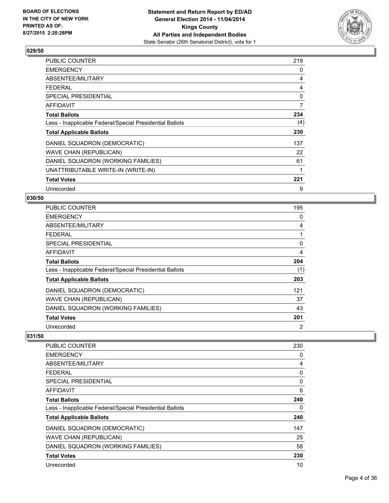

| PUBLIC COUNTER                                           | 219            |
|----------------------------------------------------------|----------------|
| <b>EMERGENCY</b>                                         | 0              |
| ABSENTEE/MILITARY                                        | 4              |
| <b>FEDERAL</b>                                           | 4              |
| SPECIAL PRESIDENTIAL                                     | 0              |
| AFFIDAVIT                                                | $\overline{7}$ |
| <b>Total Ballots</b>                                     | 234            |
| Less - Inapplicable Federal/Special Presidential Ballots | (4)            |
| <b>Total Applicable Ballots</b>                          | 230            |
| DANIEL SQUADRON (DEMOCRATIC)                             | 137            |
| <b>WAVE CHAN (REPUBLICAN)</b>                            | 22             |
| DANIEL SQUADRON (WORKING FAMILIES)                       | 61             |
| UNATTRIBUTABLE WRITE-IN (WRITE-IN)                       | 1              |
| <b>Total Votes</b>                                       | 221            |
| Unrecorded                                               | 9              |

# **030/50**

| PUBLIC COUNTER                                           | 195 |
|----------------------------------------------------------|-----|
| <b>EMERGENCY</b>                                         | 0   |
| ABSENTEE/MILITARY                                        | 4   |
| <b>FEDERAL</b>                                           | 1   |
| SPECIAL PRESIDENTIAL                                     | 0   |
| <b>AFFIDAVIT</b>                                         | 4   |
| <b>Total Ballots</b>                                     | 204 |
| Less - Inapplicable Federal/Special Presidential Ballots | (1) |
| <b>Total Applicable Ballots</b>                          | 203 |
| DANIEL SQUADRON (DEMOCRATIC)                             | 121 |
| <b>WAVE CHAN (REPUBLICAN)</b>                            | 37  |
| DANIEL SQUADRON (WORKING FAMILIES)                       | 43  |
| <b>Total Votes</b>                                       | 201 |
| Unrecorded                                               | 2   |

| <b>PUBLIC COUNTER</b>                                    | 230 |
|----------------------------------------------------------|-----|
| <b>EMERGENCY</b>                                         | 0   |
| ABSENTEE/MILITARY                                        | 4   |
| <b>FEDERAL</b>                                           | 0   |
| SPECIAL PRESIDENTIAL                                     | 0   |
| AFFIDAVIT                                                | 6   |
| <b>Total Ballots</b>                                     | 240 |
| Less - Inapplicable Federal/Special Presidential Ballots | 0   |
| <b>Total Applicable Ballots</b>                          | 240 |
| DANIEL SQUADRON (DEMOCRATIC)                             | 147 |
| <b>WAVE CHAN (REPUBLICAN)</b>                            | 25  |
| DANIEL SQUADRON (WORKING FAMILIES)                       | 58  |
| <b>Total Votes</b>                                       | 230 |
| Unrecorded                                               | 10  |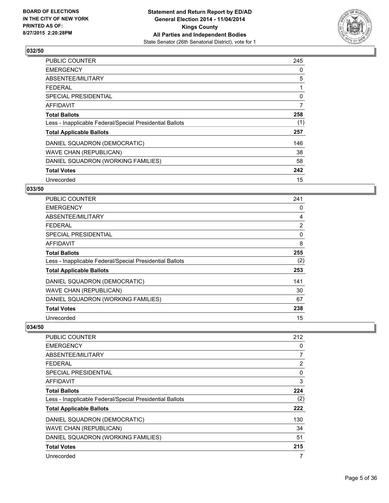

| <b>PUBLIC COUNTER</b>                                    | 245 |
|----------------------------------------------------------|-----|
| <b>EMERGENCY</b>                                         | 0   |
| ABSENTEE/MILITARY                                        | 5   |
| <b>FEDERAL</b>                                           | 1   |
| SPECIAL PRESIDENTIAL                                     | 0   |
| <b>AFFIDAVIT</b>                                         | 7   |
| <b>Total Ballots</b>                                     | 258 |
| Less - Inapplicable Federal/Special Presidential Ballots | (1) |
| <b>Total Applicable Ballots</b>                          | 257 |
| DANIEL SQUADRON (DEMOCRATIC)                             | 146 |
| WAVE CHAN (REPUBLICAN)                                   | 38  |
| DANIEL SQUADRON (WORKING FAMILIES)                       | 58  |
| <b>Total Votes</b>                                       | 242 |
| Unrecorded                                               | 15  |

# **033/50**

| <b>PUBLIC COUNTER</b>                                    | 241            |
|----------------------------------------------------------|----------------|
| <b>EMERGENCY</b>                                         | 0              |
| ABSENTEE/MILITARY                                        | 4              |
| <b>FEDERAL</b>                                           | $\overline{2}$ |
| SPECIAL PRESIDENTIAL                                     | 0              |
| AFFIDAVIT                                                | 8              |
| <b>Total Ballots</b>                                     | 255            |
| Less - Inapplicable Federal/Special Presidential Ballots | (2)            |
| <b>Total Applicable Ballots</b>                          | 253            |
| DANIEL SQUADRON (DEMOCRATIC)                             | 141            |
| <b>WAVE CHAN (REPUBLICAN)</b>                            | 30             |
| DANIEL SQUADRON (WORKING FAMILIES)                       | 67             |
| <b>Total Votes</b>                                       | 238            |
| Unrecorded                                               | 15             |

| <b>PUBLIC COUNTER</b>                                    | 212 |
|----------------------------------------------------------|-----|
| <b>EMERGENCY</b>                                         | 0   |
| ABSENTEE/MILITARY                                        | 7   |
| <b>FEDERAL</b>                                           | 2   |
| SPECIAL PRESIDENTIAL                                     | 0   |
| AFFIDAVIT                                                | 3   |
| <b>Total Ballots</b>                                     | 224 |
| Less - Inapplicable Federal/Special Presidential Ballots | (2) |
| <b>Total Applicable Ballots</b>                          | 222 |
| DANIEL SQUADRON (DEMOCRATIC)                             | 130 |
| <b>WAVE CHAN (REPUBLICAN)</b>                            | 34  |
| DANIEL SQUADRON (WORKING FAMILIES)                       | 51  |
| <b>Total Votes</b>                                       | 215 |
| Unrecorded                                               | 7   |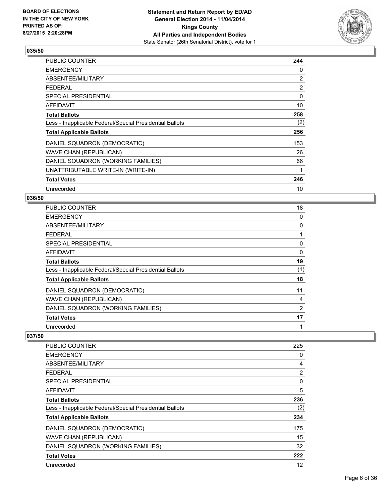

| PUBLIC COUNTER                                           | 244            |
|----------------------------------------------------------|----------------|
| <b>EMERGENCY</b>                                         | 0              |
| ABSENTEE/MILITARY                                        | $\overline{2}$ |
| <b>FEDERAL</b>                                           | $\overline{2}$ |
| <b>SPECIAL PRESIDENTIAL</b>                              | 0              |
| <b>AFFIDAVIT</b>                                         | 10             |
| <b>Total Ballots</b>                                     | 258            |
| Less - Inapplicable Federal/Special Presidential Ballots | (2)            |
| <b>Total Applicable Ballots</b>                          | 256            |
| DANIEL SQUADRON (DEMOCRATIC)                             | 153            |
| WAVE CHAN (REPUBLICAN)                                   | 26             |
| DANIEL SQUADRON (WORKING FAMILIES)                       | 66             |
| UNATTRIBUTABLE WRITE-IN (WRITE-IN)                       | 1              |
| <b>Total Votes</b>                                       | 246            |
| Unrecorded                                               | 10             |

#### **036/50**

| PUBLIC COUNTER                                           | 18  |
|----------------------------------------------------------|-----|
| <b>EMERGENCY</b>                                         | 0   |
| ABSENTEE/MILITARY                                        | 0   |
| <b>FEDERAL</b>                                           |     |
| <b>SPECIAL PRESIDENTIAL</b>                              | 0   |
| <b>AFFIDAVIT</b>                                         | 0   |
| <b>Total Ballots</b>                                     | 19  |
| Less - Inapplicable Federal/Special Presidential Ballots | (1) |
| <b>Total Applicable Ballots</b>                          | 18  |
| DANIEL SQUADRON (DEMOCRATIC)                             | 11  |
| <b>WAVE CHAN (REPUBLICAN)</b>                            | 4   |
| DANIEL SQUADRON (WORKING FAMILIES)                       | 2   |
| <b>Total Votes</b>                                       | 17  |
| Unrecorded                                               |     |

| <b>PUBLIC COUNTER</b>                                    | 225      |
|----------------------------------------------------------|----------|
| <b>EMERGENCY</b>                                         | 0        |
| ABSENTEE/MILITARY                                        | 4        |
| <b>FEDERAL</b>                                           | 2        |
| SPECIAL PRESIDENTIAL                                     | $\Omega$ |
| AFFIDAVIT                                                | 5        |
| <b>Total Ballots</b>                                     | 236      |
| Less - Inapplicable Federal/Special Presidential Ballots | (2)      |
| <b>Total Applicable Ballots</b>                          | 234      |
| DANIEL SQUADRON (DEMOCRATIC)                             | 175      |
| <b>WAVE CHAN (REPUBLICAN)</b>                            | 15       |
| DANIEL SQUADRON (WORKING FAMILIES)                       | 32       |
| <b>Total Votes</b>                                       | 222      |
| Unrecorded                                               | 12       |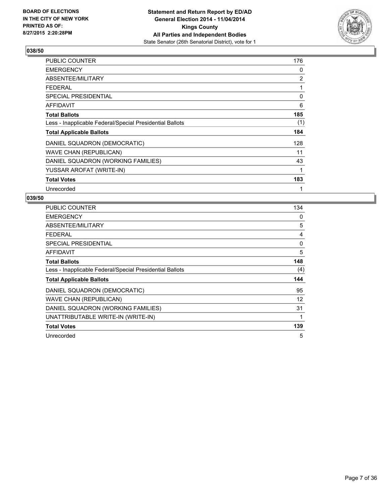

| PUBLIC COUNTER                                           | 176 |
|----------------------------------------------------------|-----|
| <b>EMERGENCY</b>                                         | 0   |
| ABSENTEE/MILITARY                                        | 2   |
| <b>FEDERAL</b>                                           | 1   |
| <b>SPECIAL PRESIDENTIAL</b>                              | 0   |
| AFFIDAVIT                                                | 6   |
| <b>Total Ballots</b>                                     | 185 |
| Less - Inapplicable Federal/Special Presidential Ballots | (1) |
| <b>Total Applicable Ballots</b>                          | 184 |
| DANIEL SQUADRON (DEMOCRATIC)                             | 128 |
| <b>WAVE CHAN (REPUBLICAN)</b>                            | 11  |
| DANIEL SQUADRON (WORKING FAMILIES)                       | 43  |
| YUSSAR AROFAT (WRITE-IN)                                 | 1   |
| <b>Total Votes</b>                                       | 183 |
| Unrecorded                                               | 1   |

| PUBLIC COUNTER                                           | 134 |
|----------------------------------------------------------|-----|
| <b>EMERGENCY</b>                                         | 0   |
| ABSENTEE/MILITARY                                        | 5   |
| <b>FEDERAL</b>                                           | 4   |
| SPECIAL PRESIDENTIAL                                     | 0   |
| AFFIDAVIT                                                | 5   |
| <b>Total Ballots</b>                                     | 148 |
| Less - Inapplicable Federal/Special Presidential Ballots | (4) |
| <b>Total Applicable Ballots</b>                          | 144 |
| DANIEL SQUADRON (DEMOCRATIC)                             | 95  |
| <b>WAVE CHAN (REPUBLICAN)</b>                            | 12  |
| DANIEL SQUADRON (WORKING FAMILIES)                       | 31  |
| UNATTRIBUTABLE WRITE-IN (WRITE-IN)                       | 1   |
| <b>Total Votes</b>                                       | 139 |
| Unrecorded                                               | 5   |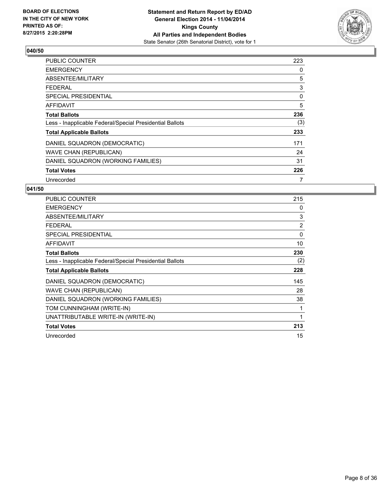

| PUBLIC COUNTER                                           | 223 |
|----------------------------------------------------------|-----|
| <b>EMERGENCY</b>                                         | 0   |
| ABSENTEE/MILITARY                                        | 5   |
| <b>FEDERAL</b>                                           | 3   |
| <b>SPECIAL PRESIDENTIAL</b>                              | 0   |
| AFFIDAVIT                                                | 5   |
| <b>Total Ballots</b>                                     | 236 |
| Less - Inapplicable Federal/Special Presidential Ballots | (3) |
| <b>Total Applicable Ballots</b>                          | 233 |
| DANIEL SQUADRON (DEMOCRATIC)                             | 171 |
| <b>WAVE CHAN (REPUBLICAN)</b>                            | 24  |
| DANIEL SQUADRON (WORKING FAMILIES)                       | 31  |
| <b>Total Votes</b>                                       | 226 |
| Unrecorded                                               | 7   |

| PUBLIC COUNTER                                           | 215 |
|----------------------------------------------------------|-----|
| <b>EMERGENCY</b>                                         | 0   |
| ABSENTEE/MILITARY                                        | 3   |
| <b>FEDERAL</b>                                           | 2   |
| <b>SPECIAL PRESIDENTIAL</b>                              | 0   |
| <b>AFFIDAVIT</b>                                         | 10  |
| <b>Total Ballots</b>                                     | 230 |
| Less - Inapplicable Federal/Special Presidential Ballots | (2) |
| <b>Total Applicable Ballots</b>                          | 228 |
| DANIEL SQUADRON (DEMOCRATIC)                             | 145 |
| WAVE CHAN (REPUBLICAN)                                   | 28  |
| DANIEL SQUADRON (WORKING FAMILIES)                       | 38  |
| TOM CUNNINGHAM (WRITE-IN)                                | 1   |
| UNATTRIBUTABLE WRITE-IN (WRITE-IN)                       | 1   |
| <b>Total Votes</b>                                       | 213 |
| Unrecorded                                               | 15  |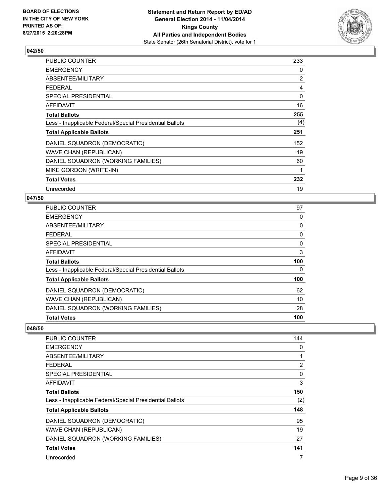

| <b>PUBLIC COUNTER</b>                                    | 233 |
|----------------------------------------------------------|-----|
| <b>EMERGENCY</b>                                         | 0   |
| ABSENTEE/MILITARY                                        | 2   |
| <b>FEDERAL</b>                                           | 4   |
| <b>SPECIAL PRESIDENTIAL</b>                              | 0   |
| AFFIDAVIT                                                | 16  |
| <b>Total Ballots</b>                                     | 255 |
| Less - Inapplicable Federal/Special Presidential Ballots | (4) |
| <b>Total Applicable Ballots</b>                          | 251 |
| DANIEL SQUADRON (DEMOCRATIC)                             | 152 |
| <b>WAVE CHAN (REPUBLICAN)</b>                            | 19  |
| DANIEL SQUADRON (WORKING FAMILIES)                       | 60  |
| MIKE GORDON (WRITE-IN)                                   | 1   |
| <b>Total Votes</b>                                       | 232 |
| Unrecorded                                               | 19  |

## **047/50**

| <b>Total Votes</b>                                       | 100 |
|----------------------------------------------------------|-----|
| DANIEL SQUADRON (WORKING FAMILIES)                       | 28  |
| <b>WAVE CHAN (REPUBLICAN)</b>                            | 10  |
| DANIEL SQUADRON (DEMOCRATIC)                             | 62  |
| <b>Total Applicable Ballots</b>                          | 100 |
| Less - Inapplicable Federal/Special Presidential Ballots | 0   |
| <b>Total Ballots</b>                                     | 100 |
| <b>AFFIDAVIT</b>                                         | 3   |
| <b>SPECIAL PRESIDENTIAL</b>                              | 0   |
| <b>FEDERAL</b>                                           | 0   |
| ABSENTEE/MILITARY                                        | 0   |
| <b>EMERGENCY</b>                                         | 0   |
| PUBLIC COUNTER                                           | 97  |

| <b>PUBLIC COUNTER</b>                                    | 144 |
|----------------------------------------------------------|-----|
| <b>EMERGENCY</b>                                         | 0   |
| ABSENTEE/MILITARY                                        | 1   |
| <b>FEDERAL</b>                                           | 2   |
| SPECIAL PRESIDENTIAL                                     | 0   |
| AFFIDAVIT                                                | 3   |
| <b>Total Ballots</b>                                     | 150 |
| Less - Inapplicable Federal/Special Presidential Ballots | (2) |
| <b>Total Applicable Ballots</b>                          | 148 |
| DANIEL SQUADRON (DEMOCRATIC)                             | 95  |
| <b>WAVE CHAN (REPUBLICAN)</b>                            | 19  |
| DANIEL SQUADRON (WORKING FAMILIES)                       | 27  |
| <b>Total Votes</b>                                       | 141 |
| Unrecorded                                               | 7   |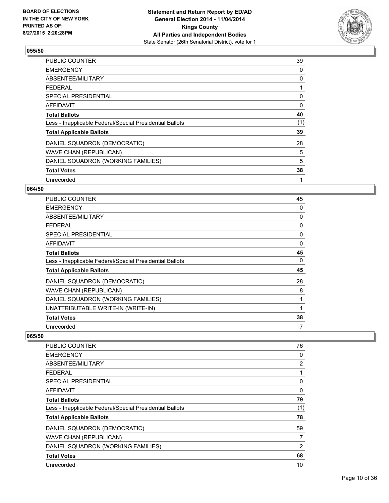

| <b>PUBLIC COUNTER</b>                                    | 39  |
|----------------------------------------------------------|-----|
| <b>EMERGENCY</b>                                         | 0   |
| ABSENTEE/MILITARY                                        | 0   |
| <b>FEDERAL</b>                                           |     |
| SPECIAL PRESIDENTIAL                                     | 0   |
| AFFIDAVIT                                                | 0   |
| <b>Total Ballots</b>                                     | 40  |
| Less - Inapplicable Federal/Special Presidential Ballots | (1) |
| <b>Total Applicable Ballots</b>                          | 39  |
| DANIEL SQUADRON (DEMOCRATIC)                             | 28  |
| WAVE CHAN (REPUBLICAN)                                   | 5   |
| DANIEL SQUADRON (WORKING FAMILIES)                       | 5   |
| <b>Total Votes</b>                                       | 38  |
| Unrecorded                                               | 1   |

# **064/50**

| PUBLIC COUNTER                                           | 45 |
|----------------------------------------------------------|----|
| <b>EMERGENCY</b>                                         | 0  |
| ABSENTEE/MILITARY                                        | 0  |
| <b>FEDERAL</b>                                           | 0  |
| <b>SPECIAL PRESIDENTIAL</b>                              | 0  |
| AFFIDAVIT                                                | 0  |
| Total Ballots                                            | 45 |
| Less - Inapplicable Federal/Special Presidential Ballots | 0  |
| <b>Total Applicable Ballots</b>                          | 45 |
| DANIEL SQUADRON (DEMOCRATIC)                             | 28 |
| <b>WAVE CHAN (REPUBLICAN)</b>                            | 8  |
| DANIEL SQUADRON (WORKING FAMILIES)                       | 1  |
| UNATTRIBUTABLE WRITE-IN (WRITE-IN)                       |    |
| <b>Total Votes</b>                                       | 38 |
| Unrecorded                                               | 7  |

| <b>PUBLIC COUNTER</b>                                    | 76             |
|----------------------------------------------------------|----------------|
| <b>EMERGENCY</b>                                         | 0              |
| ABSENTEE/MILITARY                                        | $\overline{2}$ |
| <b>FEDERAL</b>                                           | 1              |
| SPECIAL PRESIDENTIAL                                     | 0              |
| AFFIDAVIT                                                | 0              |
| <b>Total Ballots</b>                                     | 79             |
| Less - Inapplicable Federal/Special Presidential Ballots | (1)            |
| <b>Total Applicable Ballots</b>                          | 78             |
| DANIEL SQUADRON (DEMOCRATIC)                             | 59             |
| <b>WAVE CHAN (REPUBLICAN)</b>                            | 7              |
| DANIEL SQUADRON (WORKING FAMILIES)                       | $\overline{2}$ |
| <b>Total Votes</b>                                       | 68             |
| Unrecorded                                               | 10             |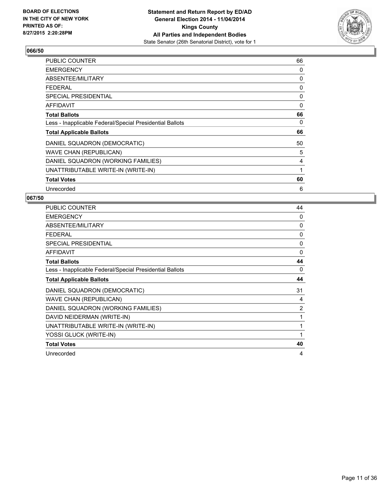

| <b>PUBLIC COUNTER</b>                                    | 66           |
|----------------------------------------------------------|--------------|
| <b>EMERGENCY</b>                                         | 0            |
| ABSENTEE/MILITARY                                        | 0            |
| <b>FEDERAL</b>                                           | 0            |
| <b>SPECIAL PRESIDENTIAL</b>                              | 0            |
| AFFIDAVIT                                                | 0            |
| <b>Total Ballots</b>                                     | 66           |
| Less - Inapplicable Federal/Special Presidential Ballots | 0            |
| <b>Total Applicable Ballots</b>                          | 66           |
| DANIEL SQUADRON (DEMOCRATIC)                             | 50           |
| <b>WAVE CHAN (REPUBLICAN)</b>                            | 5            |
| DANIEL SQUADRON (WORKING FAMILIES)                       | 4            |
| UNATTRIBUTABLE WRITE-IN (WRITE-IN)                       | $\mathbf{1}$ |
| <b>Total Votes</b>                                       | 60           |
| Unrecorded                                               | 6            |

| <b>PUBLIC COUNTER</b>                                    | 44             |
|----------------------------------------------------------|----------------|
| <b>EMERGENCY</b>                                         | $\Omega$       |
| ABSENTEE/MILITARY                                        | 0              |
| <b>FEDERAL</b>                                           | 0              |
| <b>SPECIAL PRESIDENTIAL</b>                              | 0              |
| <b>AFFIDAVIT</b>                                         | $\Omega$       |
| <b>Total Ballots</b>                                     | 44             |
| Less - Inapplicable Federal/Special Presidential Ballots | 0              |
| <b>Total Applicable Ballots</b>                          | 44             |
| DANIEL SQUADRON (DEMOCRATIC)                             | 31             |
| WAVE CHAN (REPUBLICAN)                                   | 4              |
| DANIEL SQUADRON (WORKING FAMILIES)                       | $\overline{2}$ |
| DAVID NEIDERMAN (WRITE-IN)                               | 1              |
| UNATTRIBUTABLE WRITE-IN (WRITE-IN)                       | 1              |
| YOSSI GLUCK (WRITE-IN)                                   | 1              |
| <b>Total Votes</b>                                       | 40             |
| Unrecorded                                               | 4              |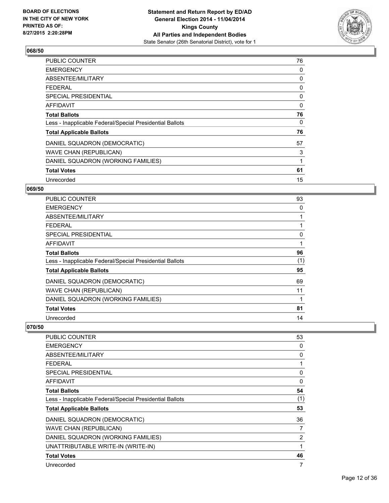

| <b>PUBLIC COUNTER</b>                                    | 76 |
|----------------------------------------------------------|----|
| <b>EMERGENCY</b>                                         | 0  |
| ABSENTEE/MILITARY                                        | 0  |
| <b>FEDERAL</b>                                           | 0  |
| <b>SPECIAL PRESIDENTIAL</b>                              | 0  |
| AFFIDAVIT                                                | 0  |
| <b>Total Ballots</b>                                     | 76 |
| Less - Inapplicable Federal/Special Presidential Ballots | 0  |
| <b>Total Applicable Ballots</b>                          | 76 |
| DANIEL SQUADRON (DEMOCRATIC)                             | 57 |
| WAVE CHAN (REPUBLICAN)                                   | 3  |
| DANIEL SQUADRON (WORKING FAMILIES)                       | 1  |
| <b>Total Votes</b>                                       | 61 |
| Unrecorded                                               | 15 |

# **069/50**

| PUBLIC COUNTER                                           | 93  |
|----------------------------------------------------------|-----|
| <b>EMERGENCY</b>                                         | 0   |
| ABSENTEE/MILITARY                                        |     |
| <b>FEDERAL</b>                                           |     |
| <b>SPECIAL PRESIDENTIAL</b>                              | 0   |
| <b>AFFIDAVIT</b>                                         |     |
| <b>Total Ballots</b>                                     | 96  |
| Less - Inapplicable Federal/Special Presidential Ballots | (1) |
| <b>Total Applicable Ballots</b>                          | 95  |
| DANIEL SQUADRON (DEMOCRATIC)                             | 69  |
| <b>WAVE CHAN (REPUBLICAN)</b>                            | 11  |
| DANIEL SQUADRON (WORKING FAMILIES)                       |     |
| <b>Total Votes</b>                                       | 81  |
| Unrecorded                                               | 14  |

| <b>PUBLIC COUNTER</b>                                    | 53           |
|----------------------------------------------------------|--------------|
| <b>EMERGENCY</b>                                         | 0            |
| ABSENTEE/MILITARY                                        | 0            |
| <b>FEDERAL</b>                                           | 1            |
| SPECIAL PRESIDENTIAL                                     | $\mathbf{0}$ |
| AFFIDAVIT                                                | 0            |
| <b>Total Ballots</b>                                     | 54           |
| Less - Inapplicable Federal/Special Presidential Ballots | (1)          |
| <b>Total Applicable Ballots</b>                          | 53           |
| DANIEL SQUADRON (DEMOCRATIC)                             | 36           |
| <b>WAVE CHAN (REPUBLICAN)</b>                            | 7            |
| DANIEL SQUADRON (WORKING FAMILIES)                       | 2            |
| UNATTRIBUTABLE WRITE-IN (WRITE-IN)                       | 1            |
| <b>Total Votes</b>                                       | 46           |
| Unrecorded                                               | 7            |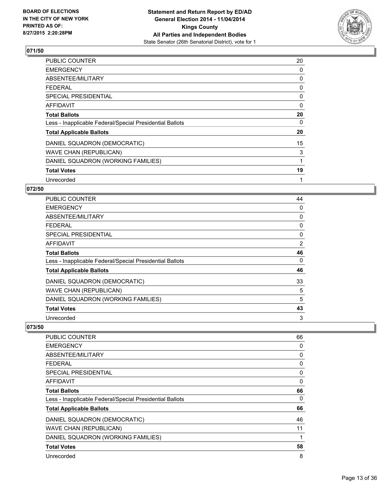

| PUBLIC COUNTER                                           | 20 |
|----------------------------------------------------------|----|
| <b>EMERGENCY</b>                                         | 0  |
| ABSENTEE/MILITARY                                        | 0  |
| <b>FEDERAL</b>                                           | 0  |
| SPECIAL PRESIDENTIAL                                     | 0  |
| AFFIDAVIT                                                | 0  |
| <b>Total Ballots</b>                                     | 20 |
| Less - Inapplicable Federal/Special Presidential Ballots | 0  |
| <b>Total Applicable Ballots</b>                          | 20 |
| DANIEL SQUADRON (DEMOCRATIC)                             | 15 |
| <b>WAVE CHAN (REPUBLICAN)</b>                            | 3  |
| DANIEL SQUADRON (WORKING FAMILIES)                       | 1  |
| <b>Total Votes</b>                                       | 19 |
| Unrecorded                                               | 1  |

# **072/50**

| <b>PUBLIC COUNTER</b>                                    | 44 |
|----------------------------------------------------------|----|
| <b>EMERGENCY</b>                                         | 0  |
| ABSENTEE/MILITARY                                        | 0  |
| <b>FEDERAL</b>                                           | 0  |
| <b>SPECIAL PRESIDENTIAL</b>                              | 0  |
| <b>AFFIDAVIT</b>                                         | 2  |
| <b>Total Ballots</b>                                     | 46 |
| Less - Inapplicable Federal/Special Presidential Ballots | 0  |
| <b>Total Applicable Ballots</b>                          | 46 |
| DANIEL SQUADRON (DEMOCRATIC)                             | 33 |
| <b>WAVE CHAN (REPUBLICAN)</b>                            | 5  |
| DANIEL SQUADRON (WORKING FAMILIES)                       | 5  |
| <b>Total Votes</b>                                       | 43 |
| Unrecorded                                               | 3  |

| <b>PUBLIC COUNTER</b>                                    | 66 |
|----------------------------------------------------------|----|
| <b>EMERGENCY</b>                                         | 0  |
| ABSENTEE/MILITARY                                        | 0  |
| <b>FEDERAL</b>                                           | 0  |
| SPECIAL PRESIDENTIAL                                     | 0  |
| AFFIDAVIT                                                | 0  |
| <b>Total Ballots</b>                                     | 66 |
| Less - Inapplicable Federal/Special Presidential Ballots | 0  |
| <b>Total Applicable Ballots</b>                          | 66 |
| DANIEL SQUADRON (DEMOCRATIC)                             | 46 |
| <b>WAVE CHAN (REPUBLICAN)</b>                            | 11 |
| DANIEL SQUADRON (WORKING FAMILIES)                       | 1  |
| <b>Total Votes</b>                                       | 58 |
| Unrecorded                                               | 8  |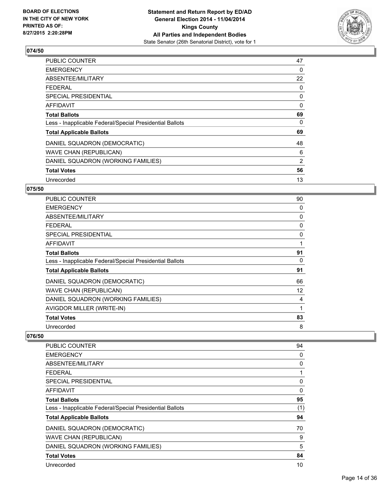

| <b>PUBLIC COUNTER</b>                                    | 47 |
|----------------------------------------------------------|----|
| <b>EMERGENCY</b>                                         | 0  |
| ABSENTEE/MILITARY                                        | 22 |
| <b>FEDERAL</b>                                           | 0  |
| <b>SPECIAL PRESIDENTIAL</b>                              | 0  |
| <b>AFFIDAVIT</b>                                         | 0  |
| <b>Total Ballots</b>                                     | 69 |
| Less - Inapplicable Federal/Special Presidential Ballots | 0  |
| <b>Total Applicable Ballots</b>                          | 69 |
| DANIEL SQUADRON (DEMOCRATIC)                             | 48 |
| <b>WAVE CHAN (REPUBLICAN)</b>                            | 6  |
| DANIEL SQUADRON (WORKING FAMILIES)                       | 2  |
| <b>Total Votes</b>                                       | 56 |
| Unrecorded                                               | 13 |

# **075/50**

| PUBLIC COUNTER                                           | 90 |
|----------------------------------------------------------|----|
| <b>EMERGENCY</b>                                         | 0  |
| ABSENTEE/MILITARY                                        | 0  |
| <b>FEDERAL</b>                                           | 0  |
| <b>SPECIAL PRESIDENTIAL</b>                              | 0  |
| <b>AFFIDAVIT</b>                                         |    |
| <b>Total Ballots</b>                                     | 91 |
| Less - Inapplicable Federal/Special Presidential Ballots | 0  |
| <b>Total Applicable Ballots</b>                          | 91 |
| DANIEL SQUADRON (DEMOCRATIC)                             | 66 |
| <b>WAVE CHAN (REPUBLICAN)</b>                            | 12 |
| DANIEL SQUADRON (WORKING FAMILIES)                       | 4  |
| AVIGDOR MILLER (WRITE-IN)                                |    |
| <b>Total Votes</b>                                       | 83 |
| Unrecorded                                               | 8  |

| PUBLIC COUNTER                                           | 94  |
|----------------------------------------------------------|-----|
| <b>EMERGENCY</b>                                         | 0   |
| ABSENTEE/MILITARY                                        | 0   |
| <b>FEDERAL</b>                                           | 1   |
| <b>SPECIAL PRESIDENTIAL</b>                              | 0   |
| AFFIDAVIT                                                | 0   |
| <b>Total Ballots</b>                                     | 95  |
| Less - Inapplicable Federal/Special Presidential Ballots | (1) |
| <b>Total Applicable Ballots</b>                          | 94  |
| DANIEL SQUADRON (DEMOCRATIC)                             | 70  |
| <b>WAVE CHAN (REPUBLICAN)</b>                            | 9   |
| DANIEL SQUADRON (WORKING FAMILIES)                       | 5   |
| <b>Total Votes</b>                                       | 84  |
| Unrecorded                                               | 10  |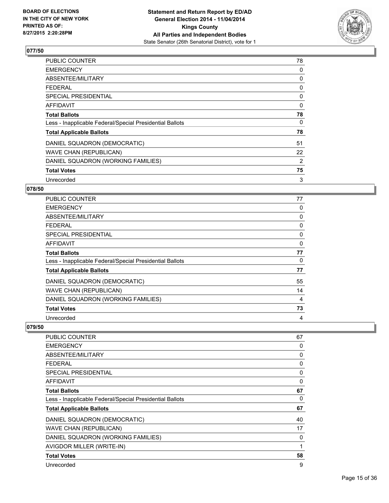

| PUBLIC COUNTER                                           | 78 |
|----------------------------------------------------------|----|
| <b>EMERGENCY</b>                                         | 0  |
| ABSENTEE/MILITARY                                        | 0  |
| FEDERAL                                                  | 0  |
| <b>SPECIAL PRESIDENTIAL</b>                              | 0  |
| AFFIDAVIT                                                | 0  |
| <b>Total Ballots</b>                                     | 78 |
| Less - Inapplicable Federal/Special Presidential Ballots | 0  |
| <b>Total Applicable Ballots</b>                          | 78 |
| DANIEL SQUADRON (DEMOCRATIC)                             | 51 |
| <b>WAVE CHAN (REPUBLICAN)</b>                            | 22 |
| DANIEL SQUADRON (WORKING FAMILIES)                       | 2  |
| <b>Total Votes</b>                                       | 75 |
| Unrecorded                                               | 3  |

# **078/50**

| PUBLIC COUNTER                                           | 77 |
|----------------------------------------------------------|----|
| <b>EMERGENCY</b>                                         | 0  |
| ABSENTEE/MILITARY                                        | 0  |
| <b>FEDERAL</b>                                           | 0  |
| SPECIAL PRESIDENTIAL                                     | 0  |
| AFFIDAVIT                                                | 0  |
| <b>Total Ballots</b>                                     | 77 |
| Less - Inapplicable Federal/Special Presidential Ballots | 0  |
| <b>Total Applicable Ballots</b>                          | 77 |
| DANIEL SQUADRON (DEMOCRATIC)                             | 55 |
| <b>WAVE CHAN (REPUBLICAN)</b>                            | 14 |
| DANIEL SQUADRON (WORKING FAMILIES)                       | 4  |
| <b>Total Votes</b>                                       | 73 |
| Unrecorded                                               | 4  |

| PUBLIC COUNTER                                           | 67           |
|----------------------------------------------------------|--------------|
| <b>EMERGENCY</b>                                         | 0            |
| ABSENTEE/MILITARY                                        | 0            |
| <b>FEDERAL</b>                                           | 0            |
| SPECIAL PRESIDENTIAL                                     | 0            |
| AFFIDAVIT                                                | 0            |
| <b>Total Ballots</b>                                     | 67           |
| Less - Inapplicable Federal/Special Presidential Ballots | 0            |
| <b>Total Applicable Ballots</b>                          | 67           |
| DANIEL SQUADRON (DEMOCRATIC)                             | 40           |
| <b>WAVE CHAN (REPUBLICAN)</b>                            | 17           |
| DANIEL SQUADRON (WORKING FAMILIES)                       | 0            |
| AVIGDOR MILLER (WRITE-IN)                                | $\mathbf{1}$ |
| <b>Total Votes</b>                                       | 58           |
| Unrecorded                                               | 9            |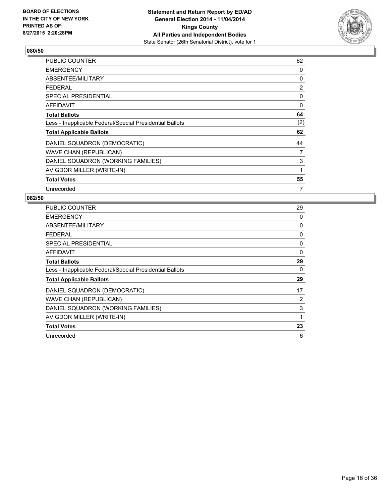

| <b>PUBLIC COUNTER</b>                                    | 62  |
|----------------------------------------------------------|-----|
| <b>EMERGENCY</b>                                         | 0   |
| ABSENTEE/MILITARY                                        | 0   |
| <b>FEDERAL</b>                                           | 2   |
| <b>SPECIAL PRESIDENTIAL</b>                              | 0   |
| AFFIDAVIT                                                | 0   |
| <b>Total Ballots</b>                                     | 64  |
| Less - Inapplicable Federal/Special Presidential Ballots | (2) |
| <b>Total Applicable Ballots</b>                          | 62  |
| DANIEL SQUADRON (DEMOCRATIC)                             | 44  |
| WAVE CHAN (REPUBLICAN)                                   | 7   |
| DANIEL SQUADRON (WORKING FAMILIES)                       | 3   |
| AVIGDOR MILLER (WRITE-IN)                                | 1   |
| <b>Total Votes</b>                                       | 55  |
| Unrecorded                                               | 7   |

| <b>PUBLIC COUNTER</b>                                    | 29 |
|----------------------------------------------------------|----|
| <b>EMERGENCY</b>                                         | 0  |
| ABSENTEE/MILITARY                                        | 0  |
| <b>FEDERAL</b>                                           | 0  |
| SPECIAL PRESIDENTIAL                                     | 0  |
| AFFIDAVIT                                                | 0  |
| <b>Total Ballots</b>                                     | 29 |
| Less - Inapplicable Federal/Special Presidential Ballots | 0  |
| <b>Total Applicable Ballots</b>                          | 29 |
| DANIEL SQUADRON (DEMOCRATIC)                             | 17 |
| <b>WAVE CHAN (REPUBLICAN)</b>                            | 2  |
| DANIEL SQUADRON (WORKING FAMILIES)                       | 3  |
| AVIGDOR MILLER (WRITE-IN)                                | 1  |
| <b>Total Votes</b>                                       | 23 |
| Unrecorded                                               | 6  |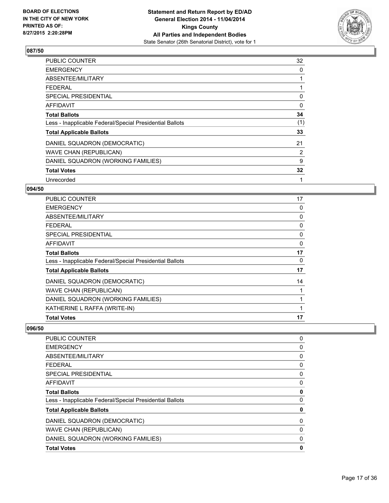

| PUBLIC COUNTER                                           | 32           |
|----------------------------------------------------------|--------------|
| <b>EMERGENCY</b>                                         | 0            |
| ABSENTEE/MILITARY                                        | 1            |
| FEDERAL                                                  | 1            |
| <b>SPECIAL PRESIDENTIAL</b>                              | 0            |
| <b>AFFIDAVIT</b>                                         | 0            |
| <b>Total Ballots</b>                                     | 34           |
| Less - Inapplicable Federal/Special Presidential Ballots | (1)          |
| <b>Total Applicable Ballots</b>                          | 33           |
| DANIEL SQUADRON (DEMOCRATIC)                             | 21           |
| WAVE CHAN (REPUBLICAN)                                   | 2            |
| DANIEL SQUADRON (WORKING FAMILIES)                       | 9            |
| <b>Total Votes</b>                                       | 32           |
| Unrecorded                                               | $\mathbf{1}$ |

# **094/50**

| PUBLIC COUNTER                                           | 17 |
|----------------------------------------------------------|----|
| <b>EMERGENCY</b>                                         | 0  |
| ABSENTEE/MILITARY                                        | 0  |
| <b>FEDERAL</b>                                           | 0  |
| <b>SPECIAL PRESIDENTIAL</b>                              | 0  |
| <b>AFFIDAVIT</b>                                         | 0  |
| <b>Total Ballots</b>                                     | 17 |
| Less - Inapplicable Federal/Special Presidential Ballots | 0  |
| <b>Total Applicable Ballots</b>                          | 17 |
| DANIEL SQUADRON (DEMOCRATIC)                             | 14 |
| <b>WAVE CHAN (REPUBLICAN)</b>                            |    |
| DANIEL SQUADRON (WORKING FAMILIES)                       |    |
| KATHERINE L RAFFA (WRITE-IN)                             |    |
| <b>Total Votes</b>                                       | 17 |

| <b>PUBLIC COUNTER</b>                                    | 0        |
|----------------------------------------------------------|----------|
| <b>EMERGENCY</b>                                         | 0        |
| ABSENTEE/MILITARY                                        | 0        |
| <b>FEDERAL</b>                                           | 0        |
| SPECIAL PRESIDENTIAL                                     | 0        |
| AFFIDAVIT                                                | 0        |
| <b>Total Ballots</b>                                     | 0        |
| Less - Inapplicable Federal/Special Presidential Ballots | $\Omega$ |
| <b>Total Applicable Ballots</b>                          | 0        |
| DANIEL SQUADRON (DEMOCRATIC)                             | 0        |
| <b>WAVE CHAN (REPUBLICAN)</b>                            | 0        |
| DANIEL SQUADRON (WORKING FAMILIES)                       | 0        |
| <b>Total Votes</b>                                       | 0        |
|                                                          |          |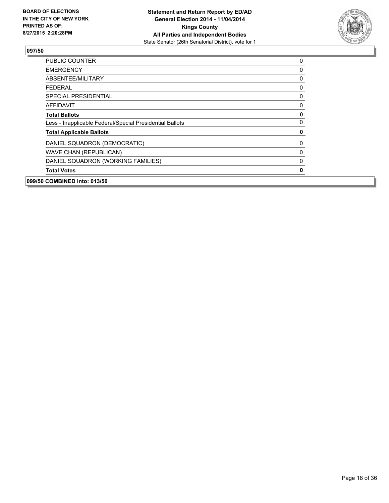

| 099/50 COMBINED into: 013/50                             |   |
|----------------------------------------------------------|---|
| <b>Total Votes</b>                                       | 0 |
| DANIEL SQUADRON (WORKING FAMILIES)                       | 0 |
| <b>WAVE CHAN (REPUBLICAN)</b>                            | 0 |
| DANIEL SQUADRON (DEMOCRATIC)                             | 0 |
| <b>Total Applicable Ballots</b>                          | 0 |
| Less - Inapplicable Federal/Special Presidential Ballots | 0 |
| <b>Total Ballots</b>                                     | 0 |
| <b>AFFIDAVIT</b>                                         | 0 |
| <b>SPECIAL PRESIDENTIAL</b>                              | 0 |
| <b>FEDERAL</b>                                           | 0 |
| ABSENTEE/MILITARY                                        | 0 |
| <b>EMERGENCY</b>                                         | 0 |
| <b>PUBLIC COUNTER</b>                                    | 0 |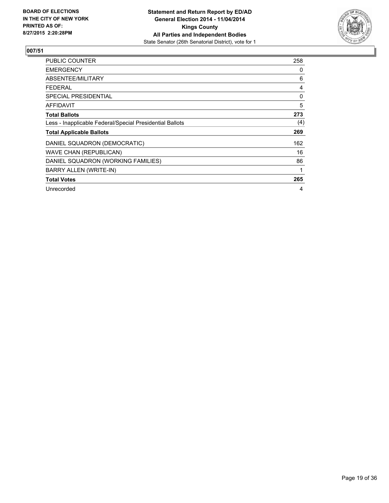

| <b>PUBLIC COUNTER</b>                                    | 258 |
|----------------------------------------------------------|-----|
| <b>EMERGENCY</b>                                         | 0   |
| ABSENTEE/MILITARY                                        | 6   |
| <b>FEDERAL</b>                                           | 4   |
| SPECIAL PRESIDENTIAL                                     | 0   |
| AFFIDAVIT                                                | 5   |
| <b>Total Ballots</b>                                     | 273 |
| Less - Inapplicable Federal/Special Presidential Ballots | (4) |
| <b>Total Applicable Ballots</b>                          | 269 |
| DANIEL SQUADRON (DEMOCRATIC)                             | 162 |
| <b>WAVE CHAN (REPUBLICAN)</b>                            | 16  |
| DANIEL SQUADRON (WORKING FAMILIES)                       | 86  |
| <b>BARRY ALLEN (WRITE-IN)</b>                            | 1   |
| <b>Total Votes</b>                                       | 265 |
| Unrecorded                                               | 4   |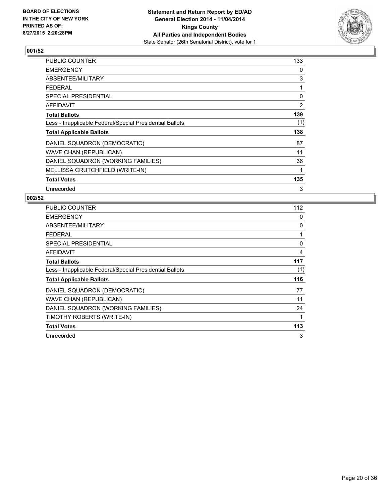

| <b>PUBLIC COUNTER</b>                                    | 133 |
|----------------------------------------------------------|-----|
| <b>EMERGENCY</b>                                         | 0   |
| ABSENTEE/MILITARY                                        | 3   |
| <b>FEDERAL</b>                                           | 1   |
| <b>SPECIAL PRESIDENTIAL</b>                              | 0   |
| <b>AFFIDAVIT</b>                                         | 2   |
| <b>Total Ballots</b>                                     | 139 |
| Less - Inapplicable Federal/Special Presidential Ballots | (1) |
| <b>Total Applicable Ballots</b>                          | 138 |
| DANIEL SQUADRON (DEMOCRATIC)                             | 87  |
| <b>WAVE CHAN (REPUBLICAN)</b>                            | 11  |
| DANIEL SQUADRON (WORKING FAMILIES)                       | 36  |
| MELLISSA CRUTCHFIELD (WRITE-IN)                          | 1   |
| <b>Total Votes</b>                                       | 135 |
| Unrecorded                                               | 3   |

| <b>PUBLIC COUNTER</b>                                    | 112 |
|----------------------------------------------------------|-----|
| <b>EMERGENCY</b>                                         | 0   |
| ABSENTEE/MILITARY                                        | 0   |
| <b>FEDERAL</b>                                           | 1   |
| SPECIAL PRESIDENTIAL                                     | 0   |
| AFFIDAVIT                                                | 4   |
| <b>Total Ballots</b>                                     | 117 |
| Less - Inapplicable Federal/Special Presidential Ballots | (1) |
| <b>Total Applicable Ballots</b>                          | 116 |
| DANIEL SQUADRON (DEMOCRATIC)                             | 77  |
| <b>WAVE CHAN (REPUBLICAN)</b>                            | 11  |
| DANIEL SQUADRON (WORKING FAMILIES)                       | 24  |
| TIMOTHY ROBERTS (WRITE-IN)                               | 1   |
| <b>Total Votes</b>                                       | 113 |
| Unrecorded                                               | 3   |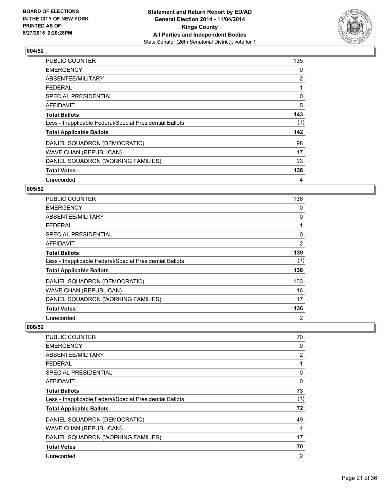

| PUBLIC COUNTER                                           | 135 |
|----------------------------------------------------------|-----|
| <b>EMERGENCY</b>                                         | 0   |
| ABSENTEE/MILITARY                                        | 2   |
| <b>FEDERAL</b>                                           | 1   |
| <b>SPECIAL PRESIDENTIAL</b>                              | 0   |
| <b>AFFIDAVIT</b>                                         | 5   |
| <b>Total Ballots</b>                                     | 143 |
| Less - Inapplicable Federal/Special Presidential Ballots | (1) |
| <b>Total Applicable Ballots</b>                          | 142 |
| DANIEL SQUADRON (DEMOCRATIC)                             | 98  |
| <b>WAVE CHAN (REPUBLICAN)</b>                            | 17  |
| DANIEL SQUADRON (WORKING FAMILIES)                       | 23  |
| <b>Total Votes</b>                                       | 138 |
| Unrecorded                                               | 4   |

# **005/52**

| PUBLIC COUNTER                                           | 136 |
|----------------------------------------------------------|-----|
| <b>EMERGENCY</b>                                         | 0   |
| ABSENTEE/MILITARY                                        | 0   |
| <b>FEDERAL</b>                                           |     |
| SPECIAL PRESIDENTIAL                                     | 0   |
| AFFIDAVIT                                                | 2   |
| <b>Total Ballots</b>                                     | 139 |
| Less - Inapplicable Federal/Special Presidential Ballots | (1) |
| <b>Total Applicable Ballots</b>                          | 138 |
| DANIEL SQUADRON (DEMOCRATIC)                             | 103 |
| <b>WAVE CHAN (REPUBLICAN)</b>                            | 16  |
| DANIEL SQUADRON (WORKING FAMILIES)                       | 17  |
| <b>Total Votes</b>                                       | 136 |
| Unrecorded                                               | 2   |

| <b>PUBLIC COUNTER</b>                                    | 70  |
|----------------------------------------------------------|-----|
| <b>EMERGENCY</b>                                         | 0   |
| ABSENTEE/MILITARY                                        | 2   |
| <b>FEDERAL</b>                                           |     |
| <b>SPECIAL PRESIDENTIAL</b>                              | 0   |
| AFFIDAVIT                                                | 0   |
| <b>Total Ballots</b>                                     | 73  |
| Less - Inapplicable Federal/Special Presidential Ballots | (1) |
| <b>Total Applicable Ballots</b>                          | 72  |
| DANIEL SQUADRON (DEMOCRATIC)                             | 49  |
| <b>WAVE CHAN (REPUBLICAN)</b>                            | 4   |
| DANIEL SQUADRON (WORKING FAMILIES)                       | 17  |
| <b>Total Votes</b>                                       | 70  |
| Unrecorded                                               | 2   |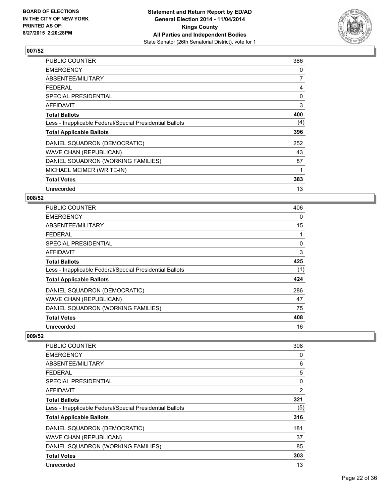

| PUBLIC COUNTER                                           | 386 |
|----------------------------------------------------------|-----|
| <b>EMERGENCY</b>                                         | 0   |
| ABSENTEE/MILITARY                                        | 7   |
| <b>FEDERAL</b>                                           | 4   |
| SPECIAL PRESIDENTIAL                                     | 0   |
| <b>AFFIDAVIT</b>                                         | 3   |
| <b>Total Ballots</b>                                     | 400 |
| Less - Inapplicable Federal/Special Presidential Ballots | (4) |
| <b>Total Applicable Ballots</b>                          | 396 |
| DANIEL SQUADRON (DEMOCRATIC)                             | 252 |
| WAVE CHAN (REPUBLICAN)                                   | 43  |
| DANIEL SQUADRON (WORKING FAMILIES)                       | 87  |
| MICHAEL MEIMER (WRITE-IN)                                | 1   |
| <b>Total Votes</b>                                       | 383 |
| Unrecorded                                               | 13  |

# **008/52**

| <b>PUBLIC COUNTER</b>                                    | 406 |
|----------------------------------------------------------|-----|
| <b>EMERGENCY</b>                                         | 0   |
| ABSENTEE/MILITARY                                        | 15  |
| <b>FEDERAL</b>                                           |     |
| <b>SPECIAL PRESIDENTIAL</b>                              | 0   |
| AFFIDAVIT                                                | 3   |
| <b>Total Ballots</b>                                     | 425 |
| Less - Inapplicable Federal/Special Presidential Ballots | (1) |
| <b>Total Applicable Ballots</b>                          | 424 |
| DANIEL SQUADRON (DEMOCRATIC)                             | 286 |
| <b>WAVE CHAN (REPUBLICAN)</b>                            | 47  |
| DANIEL SQUADRON (WORKING FAMILIES)                       | 75  |
| <b>Total Votes</b>                                       | 408 |
| Unrecorded                                               | 16  |

| <b>PUBLIC COUNTER</b>                                    | 308            |
|----------------------------------------------------------|----------------|
| <b>EMERGENCY</b>                                         | 0              |
| ABSENTEE/MILITARY                                        | 6              |
| FEDERAL                                                  | 5              |
| SPECIAL PRESIDENTIAL                                     | 0              |
| AFFIDAVIT                                                | $\overline{2}$ |
| <b>Total Ballots</b>                                     | 321            |
| Less - Inapplicable Federal/Special Presidential Ballots | (5)            |
| <b>Total Applicable Ballots</b>                          | 316            |
| DANIEL SQUADRON (DEMOCRATIC)                             | 181            |
| <b>WAVE CHAN (REPUBLICAN)</b>                            | 37             |
| DANIEL SQUADRON (WORKING FAMILIES)                       | 85             |
| <b>Total Votes</b>                                       | 303            |
| Unrecorded                                               | 13             |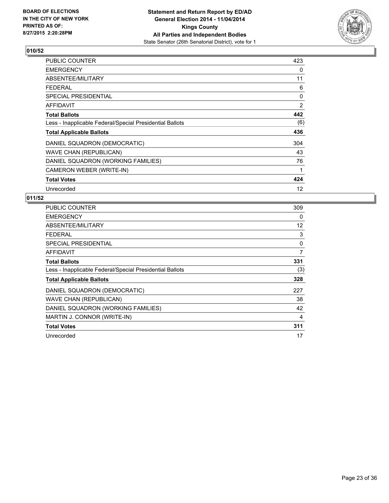

| <b>PUBLIC COUNTER</b>                                    | 423 |
|----------------------------------------------------------|-----|
| <b>EMERGENCY</b>                                         | 0   |
| ABSENTEE/MILITARY                                        | 11  |
| <b>FEDERAL</b>                                           | 6   |
| <b>SPECIAL PRESIDENTIAL</b>                              | 0   |
| <b>AFFIDAVIT</b>                                         | 2   |
| <b>Total Ballots</b>                                     | 442 |
| Less - Inapplicable Federal/Special Presidential Ballots | (6) |
| <b>Total Applicable Ballots</b>                          | 436 |
| DANIEL SQUADRON (DEMOCRATIC)                             | 304 |
| <b>WAVE CHAN (REPUBLICAN)</b>                            | 43  |
| DANIEL SQUADRON (WORKING FAMILIES)                       | 76  |
| CAMERON WEBER (WRITE-IN)                                 | 1   |
| <b>Total Votes</b>                                       | 424 |
| Unrecorded                                               | 12  |

| <b>PUBLIC COUNTER</b>                                    | 309 |
|----------------------------------------------------------|-----|
| <b>EMERGENCY</b>                                         | 0   |
| ABSENTEE/MILITARY                                        | 12  |
| <b>FEDERAL</b>                                           | 3   |
| SPECIAL PRESIDENTIAL                                     | 0   |
| <b>AFFIDAVIT</b>                                         | 7   |
| <b>Total Ballots</b>                                     | 331 |
| Less - Inapplicable Federal/Special Presidential Ballots | (3) |
| <b>Total Applicable Ballots</b>                          | 328 |
| DANIEL SQUADRON (DEMOCRATIC)                             | 227 |
| <b>WAVE CHAN (REPUBLICAN)</b>                            | 38  |
| DANIEL SQUADRON (WORKING FAMILIES)                       | 42  |
| MARTIN J. CONNOR (WRITE-IN)                              | 4   |
| <b>Total Votes</b>                                       | 311 |
| Unrecorded                                               | 17  |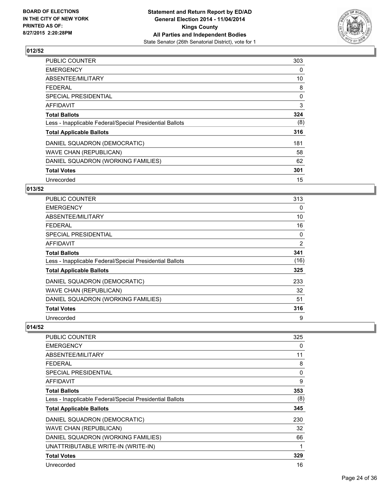

| PUBLIC COUNTER                                           | 303 |
|----------------------------------------------------------|-----|
| <b>EMERGENCY</b>                                         | 0   |
| ABSENTEE/MILITARY                                        | 10  |
| <b>FEDERAL</b>                                           | 8   |
| <b>SPECIAL PRESIDENTIAL</b>                              | 0   |
| <b>AFFIDAVIT</b>                                         | 3   |
| <b>Total Ballots</b>                                     | 324 |
| Less - Inapplicable Federal/Special Presidential Ballots | (8) |
| <b>Total Applicable Ballots</b>                          | 316 |
| DANIEL SQUADRON (DEMOCRATIC)                             | 181 |
| <b>WAVE CHAN (REPUBLICAN)</b>                            | 58  |
| DANIEL SQUADRON (WORKING FAMILIES)                       | 62  |
| <b>Total Votes</b>                                       | 301 |
| Unrecorded                                               | 15  |

#### **013/52**

| <b>PUBLIC COUNTER</b>                                    | 313            |
|----------------------------------------------------------|----------------|
| <b>EMERGENCY</b>                                         | 0              |
| ABSENTEE/MILITARY                                        | 10             |
| <b>FEDERAL</b>                                           | 16             |
| SPECIAL PRESIDENTIAL                                     | 0              |
| AFFIDAVIT                                                | $\overline{2}$ |
| <b>Total Ballots</b>                                     | 341            |
| Less - Inapplicable Federal/Special Presidential Ballots | (16)           |
| <b>Total Applicable Ballots</b>                          | 325            |
| DANIEL SQUADRON (DEMOCRATIC)                             | 233            |
| <b>WAVE CHAN (REPUBLICAN)</b>                            | 32             |
| DANIEL SQUADRON (WORKING FAMILIES)                       | 51             |
| <b>Total Votes</b>                                       | 316            |
| Unrecorded                                               | 9              |

| PUBLIC COUNTER                                           | 325 |
|----------------------------------------------------------|-----|
| <b>EMERGENCY</b>                                         | 0   |
| ABSENTEE/MILITARY                                        | 11  |
| <b>FEDERAL</b>                                           | 8   |
| SPECIAL PRESIDENTIAL                                     | 0   |
| AFFIDAVIT                                                | 9   |
| <b>Total Ballots</b>                                     | 353 |
| Less - Inapplicable Federal/Special Presidential Ballots | (8) |
| <b>Total Applicable Ballots</b>                          | 345 |
| DANIEL SQUADRON (DEMOCRATIC)                             | 230 |
| <b>WAVE CHAN (REPUBLICAN)</b>                            | 32  |
| DANIEL SQUADRON (WORKING FAMILIES)                       | 66  |
| UNATTRIBUTABLE WRITE-IN (WRITE-IN)                       | 1   |
| <b>Total Votes</b>                                       | 329 |
| Unrecorded                                               | 16  |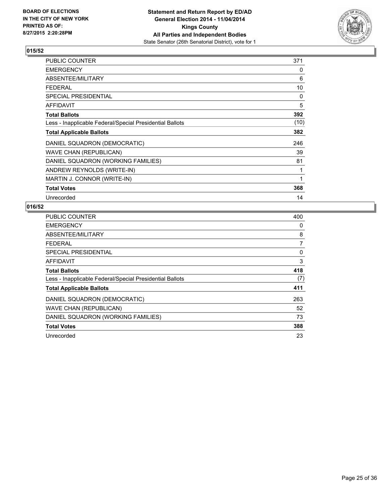

| <b>PUBLIC COUNTER</b>                                    | 371  |
|----------------------------------------------------------|------|
| <b>EMERGENCY</b>                                         | 0    |
| ABSENTEE/MILITARY                                        | 6    |
| <b>FEDERAL</b>                                           | 10   |
| <b>SPECIAL PRESIDENTIAL</b>                              | 0    |
| <b>AFFIDAVIT</b>                                         | 5    |
| <b>Total Ballots</b>                                     | 392  |
| Less - Inapplicable Federal/Special Presidential Ballots | (10) |
| <b>Total Applicable Ballots</b>                          | 382  |
| DANIEL SQUADRON (DEMOCRATIC)                             | 246  |
| WAVE CHAN (REPUBLICAN)                                   | 39   |
| DANIEL SQUADRON (WORKING FAMILIES)                       | 81   |
| ANDREW REYNOLDS (WRITE-IN)                               | 1    |
| MARTIN J. CONNOR (WRITE-IN)                              | 1    |
| <b>Total Votes</b>                                       | 368  |
| Unrecorded                                               | 14   |

| <b>PUBLIC COUNTER</b>                                    | 400 |
|----------------------------------------------------------|-----|
| <b>EMERGENCY</b>                                         | 0   |
| ABSENTEE/MILITARY                                        | 8   |
| <b>FEDERAL</b>                                           | 7   |
| SPECIAL PRESIDENTIAL                                     | 0   |
| <b>AFFIDAVIT</b>                                         | 3   |
| <b>Total Ballots</b>                                     | 418 |
| Less - Inapplicable Federal/Special Presidential Ballots | (7) |
| <b>Total Applicable Ballots</b>                          | 411 |
| DANIEL SQUADRON (DEMOCRATIC)                             | 263 |
| <b>WAVE CHAN (REPUBLICAN)</b>                            | 52  |
| DANIEL SQUADRON (WORKING FAMILIES)                       | 73  |
| <b>Total Votes</b>                                       | 388 |
| Unrecorded                                               | 23  |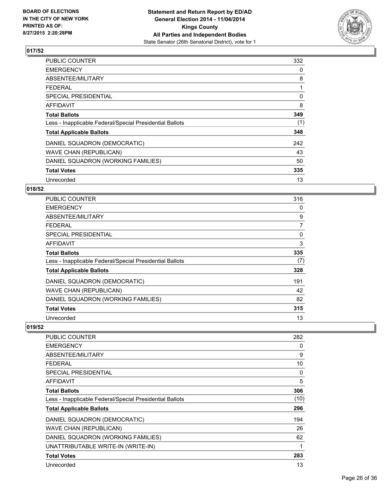

| PUBLIC COUNTER                                           | 332 |
|----------------------------------------------------------|-----|
| <b>EMERGENCY</b>                                         | 0   |
| ABSENTEE/MILITARY                                        | 8   |
| <b>FEDERAL</b>                                           |     |
| <b>SPECIAL PRESIDENTIAL</b>                              | 0   |
| <b>AFFIDAVIT</b>                                         | 8   |
| <b>Total Ballots</b>                                     | 349 |
| Less - Inapplicable Federal/Special Presidential Ballots | (1) |
| <b>Total Applicable Ballots</b>                          | 348 |
| DANIEL SQUADRON (DEMOCRATIC)                             | 242 |
| <b>WAVE CHAN (REPUBLICAN)</b>                            | 43  |
| DANIEL SQUADRON (WORKING FAMILIES)                       | 50  |
| <b>Total Votes</b>                                       | 335 |
| Unrecorded                                               | 13  |

# **018/52**

| PUBLIC COUNTER                                           | 316 |
|----------------------------------------------------------|-----|
| <b>EMERGENCY</b>                                         | 0   |
| ABSENTEE/MILITARY                                        | 9   |
| <b>FEDERAL</b>                                           | 7   |
| SPECIAL PRESIDENTIAL                                     | 0   |
| AFFIDAVIT                                                | 3   |
| <b>Total Ballots</b>                                     | 335 |
| Less - Inapplicable Federal/Special Presidential Ballots | (7) |
| <b>Total Applicable Ballots</b>                          | 328 |
| DANIEL SQUADRON (DEMOCRATIC)                             | 191 |
| <b>WAVE CHAN (REPUBLICAN)</b>                            | 42  |
| DANIEL SQUADRON (WORKING FAMILIES)                       | 82  |
| <b>Total Votes</b>                                       | 315 |
| Unrecorded                                               | 13  |

| PUBLIC COUNTER                                           | 282  |
|----------------------------------------------------------|------|
| <b>EMERGENCY</b>                                         | 0    |
| ABSENTEE/MILITARY                                        | 9    |
| <b>FEDERAL</b>                                           | 10   |
| SPECIAL PRESIDENTIAL                                     | 0    |
| AFFIDAVIT                                                | 5    |
| <b>Total Ballots</b>                                     | 306  |
| Less - Inapplicable Federal/Special Presidential Ballots | (10) |
| <b>Total Applicable Ballots</b>                          | 296  |
| DANIEL SQUADRON (DEMOCRATIC)                             | 194  |
| <b>WAVE CHAN (REPUBLICAN)</b>                            | 26   |
| DANIEL SQUADRON (WORKING FAMILIES)                       | 62   |
| UNATTRIBUTABLE WRITE-IN (WRITE-IN)                       | 1    |
| <b>Total Votes</b>                                       | 283  |
| Unrecorded                                               | 13   |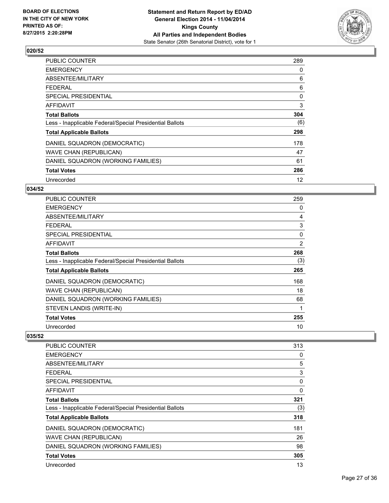

| PUBLIC COUNTER                                           | 289 |
|----------------------------------------------------------|-----|
| <b>EMERGENCY</b>                                         | 0   |
| ABSENTEE/MILITARY                                        | 6   |
| <b>FEDERAL</b>                                           | 6   |
| <b>SPECIAL PRESIDENTIAL</b>                              | 0   |
| <b>AFFIDAVIT</b>                                         | 3   |
| <b>Total Ballots</b>                                     | 304 |
| Less - Inapplicable Federal/Special Presidential Ballots | (6) |
| <b>Total Applicable Ballots</b>                          | 298 |
| DANIEL SQUADRON (DEMOCRATIC)                             | 178 |
| <b>WAVE CHAN (REPUBLICAN)</b>                            | 47  |
| DANIEL SQUADRON (WORKING FAMILIES)                       | 61  |
| <b>Total Votes</b>                                       | 286 |
| Unrecorded                                               | 12  |

# **034/52**

| <b>PUBLIC COUNTER</b>                                    | 259      |
|----------------------------------------------------------|----------|
| <b>EMERGENCY</b>                                         | 0        |
| ABSENTEE/MILITARY                                        | 4        |
| <b>FEDERAL</b>                                           | 3        |
| <b>SPECIAL PRESIDENTIAL</b>                              | $\Omega$ |
| <b>AFFIDAVIT</b>                                         | 2        |
| <b>Total Ballots</b>                                     | 268      |
| Less - Inapplicable Federal/Special Presidential Ballots | (3)      |
| <b>Total Applicable Ballots</b>                          | 265      |
| DANIEL SQUADRON (DEMOCRATIC)                             | 168      |
| <b>WAVE CHAN (REPUBLICAN)</b>                            | 18       |
| DANIEL SQUADRON (WORKING FAMILIES)                       | 68       |
| STEVEN LANDIS (WRITE-IN)                                 | 1        |
| <b>Total Votes</b>                                       | 255      |
| Unrecorded                                               | 10       |

| <b>PUBLIC COUNTER</b>                                    | 313 |
|----------------------------------------------------------|-----|
| <b>EMERGENCY</b>                                         | 0   |
| ABSENTEE/MILITARY                                        | 5   |
| FEDERAL                                                  | 3   |
| SPECIAL PRESIDENTIAL                                     | 0   |
| AFFIDAVIT                                                | 0   |
| <b>Total Ballots</b>                                     | 321 |
| Less - Inapplicable Federal/Special Presidential Ballots | (3) |
| <b>Total Applicable Ballots</b>                          | 318 |
| DANIEL SQUADRON (DEMOCRATIC)                             | 181 |
| <b>WAVE CHAN (REPUBLICAN)</b>                            | 26  |
| DANIEL SQUADRON (WORKING FAMILIES)                       | 98  |
| <b>Total Votes</b>                                       | 305 |
| Unrecorded                                               | 13  |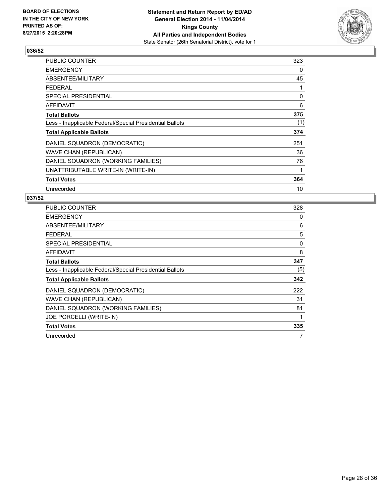

| <b>PUBLIC COUNTER</b>                                    | 323 |
|----------------------------------------------------------|-----|
| <b>EMERGENCY</b>                                         | 0   |
| ABSENTEE/MILITARY                                        | 45  |
| <b>FEDERAL</b>                                           | 1   |
| <b>SPECIAL PRESIDENTIAL</b>                              | 0   |
| <b>AFFIDAVIT</b>                                         | 6   |
| <b>Total Ballots</b>                                     | 375 |
| Less - Inapplicable Federal/Special Presidential Ballots | (1) |
| <b>Total Applicable Ballots</b>                          | 374 |
| DANIEL SQUADRON (DEMOCRATIC)                             | 251 |
| <b>WAVE CHAN (REPUBLICAN)</b>                            | 36  |
| DANIEL SQUADRON (WORKING FAMILIES)                       | 76  |
| UNATTRIBUTABLE WRITE-IN (WRITE-IN)                       | 1   |
| <b>Total Votes</b>                                       | 364 |
| Unrecorded                                               | 10  |

| <b>PUBLIC COUNTER</b>                                    | 328 |
|----------------------------------------------------------|-----|
| <b>EMERGENCY</b>                                         | 0   |
| ABSENTEE/MILITARY                                        | 6   |
| <b>FEDERAL</b>                                           | 5   |
| SPECIAL PRESIDENTIAL                                     | 0   |
| <b>AFFIDAVIT</b>                                         | 8   |
| <b>Total Ballots</b>                                     | 347 |
| Less - Inapplicable Federal/Special Presidential Ballots | (5) |
| <b>Total Applicable Ballots</b>                          | 342 |
| DANIEL SQUADRON (DEMOCRATIC)                             | 222 |
| <b>WAVE CHAN (REPUBLICAN)</b>                            | 31  |
| DANIEL SQUADRON (WORKING FAMILIES)                       | 81  |
| JOE PORCELLI (WRITE-IN)                                  |     |
| <b>Total Votes</b>                                       | 335 |
| Unrecorded                                               | 7   |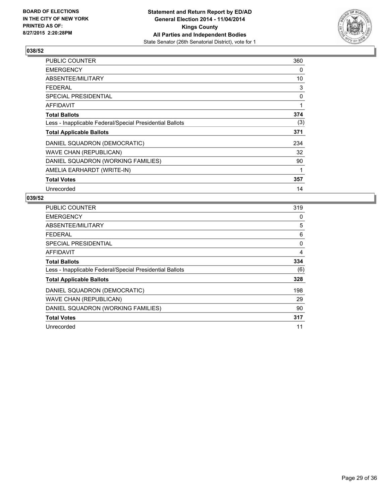

| <b>PUBLIC COUNTER</b>                                    | 360 |
|----------------------------------------------------------|-----|
| <b>EMERGENCY</b>                                         | 0   |
| ABSENTEE/MILITARY                                        | 10  |
| <b>FEDERAL</b>                                           | 3   |
| <b>SPECIAL PRESIDENTIAL</b>                              | 0   |
| <b>AFFIDAVIT</b>                                         | 1   |
| <b>Total Ballots</b>                                     | 374 |
| Less - Inapplicable Federal/Special Presidential Ballots | (3) |
| <b>Total Applicable Ballots</b>                          | 371 |
| DANIEL SQUADRON (DEMOCRATIC)                             | 234 |
| WAVE CHAN (REPUBLICAN)                                   | 32  |
| DANIEL SQUADRON (WORKING FAMILIES)                       | 90  |
| AMELIA EARHARDT (WRITE-IN)                               | 1   |
| <b>Total Votes</b>                                       | 357 |
| Unrecorded                                               | 14  |

| <b>PUBLIC COUNTER</b>                                    | 319 |
|----------------------------------------------------------|-----|
| <b>EMERGENCY</b>                                         | 0   |
| ABSENTEE/MILITARY                                        | 5   |
| FEDERAL                                                  | 6   |
| SPECIAL PRESIDENTIAL                                     | 0   |
| <b>AFFIDAVIT</b>                                         | 4   |
| <b>Total Ballots</b>                                     | 334 |
| Less - Inapplicable Federal/Special Presidential Ballots | (6) |
| <b>Total Applicable Ballots</b>                          | 328 |
| DANIEL SQUADRON (DEMOCRATIC)                             | 198 |
| <b>WAVE CHAN (REPUBLICAN)</b>                            | 29  |
| DANIEL SQUADRON (WORKING FAMILIES)                       | 90  |
| <b>Total Votes</b>                                       | 317 |
| Unrecorded                                               | 11  |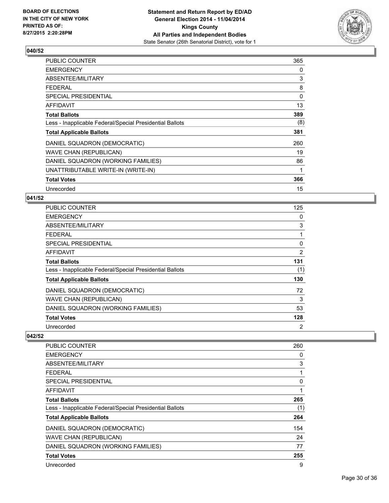

| <b>PUBLIC COUNTER</b>                                    | 365 |
|----------------------------------------------------------|-----|
| <b>EMERGENCY</b>                                         | 0   |
| ABSENTEE/MILITARY                                        | 3   |
| <b>FEDERAL</b>                                           | 8   |
| SPECIAL PRESIDENTIAL                                     | 0   |
| <b>AFFIDAVIT</b>                                         | 13  |
| <b>Total Ballots</b>                                     | 389 |
| Less - Inapplicable Federal/Special Presidential Ballots | (8) |
| <b>Total Applicable Ballots</b>                          | 381 |
| DANIEL SQUADRON (DEMOCRATIC)                             | 260 |
| <b>WAVE CHAN (REPUBLICAN)</b>                            | 19  |
| DANIEL SQUADRON (WORKING FAMILIES)                       | 86  |
| UNATTRIBUTABLE WRITE-IN (WRITE-IN)                       | 1   |
| <b>Total Votes</b>                                       | 366 |
| Unrecorded                                               | 15  |

## **041/52**

| <b>PUBLIC COUNTER</b>                                    | 125 |
|----------------------------------------------------------|-----|
| <b>EMERGENCY</b>                                         | 0   |
| ABSENTEE/MILITARY                                        | 3   |
| <b>FEDERAL</b>                                           |     |
| <b>SPECIAL PRESIDENTIAL</b>                              | 0   |
| AFFIDAVIT                                                | 2   |
| <b>Total Ballots</b>                                     | 131 |
| Less - Inapplicable Federal/Special Presidential Ballots | (1) |
| <b>Total Applicable Ballots</b>                          | 130 |
| DANIEL SQUADRON (DEMOCRATIC)                             | 72  |
| <b>WAVE CHAN (REPUBLICAN)</b>                            | 3   |
| DANIEL SQUADRON (WORKING FAMILIES)                       | 53  |
| <b>Total Votes</b>                                       | 128 |
| Unrecorded                                               | 2   |

| <b>PUBLIC COUNTER</b>                                    | 260 |
|----------------------------------------------------------|-----|
| <b>EMERGENCY</b>                                         | 0   |
| ABSENTEE/MILITARY                                        | 3   |
| <b>FEDERAL</b>                                           | 1   |
| SPECIAL PRESIDENTIAL                                     | 0   |
| AFFIDAVIT                                                | 1   |
| <b>Total Ballots</b>                                     | 265 |
| Less - Inapplicable Federal/Special Presidential Ballots | (1) |
| <b>Total Applicable Ballots</b>                          | 264 |
| DANIEL SQUADRON (DEMOCRATIC)                             | 154 |
| <b>WAVE CHAN (REPUBLICAN)</b>                            | 24  |
| DANIEL SQUADRON (WORKING FAMILIES)                       | 77  |
| <b>Total Votes</b>                                       | 255 |
| Unrecorded                                               | 9   |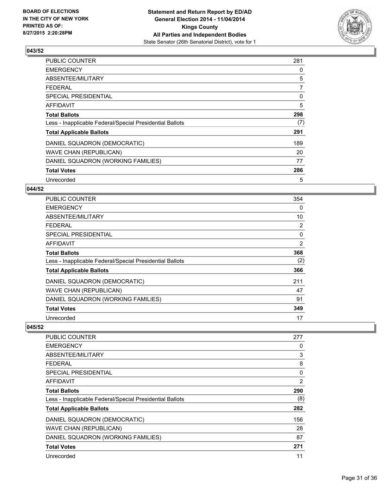

| <b>PUBLIC COUNTER</b>                                    | 281 |
|----------------------------------------------------------|-----|
| <b>EMERGENCY</b>                                         | 0   |
| ABSENTEE/MILITARY                                        | 5   |
| <b>FEDERAL</b>                                           | 7   |
| <b>SPECIAL PRESIDENTIAL</b>                              | 0   |
| AFFIDAVIT                                                | 5   |
| <b>Total Ballots</b>                                     | 298 |
| Less - Inapplicable Federal/Special Presidential Ballots | (7) |
| <b>Total Applicable Ballots</b>                          | 291 |
| DANIEL SQUADRON (DEMOCRATIC)                             | 189 |
| <b>WAVE CHAN (REPUBLICAN)</b>                            | 20  |
| DANIEL SQUADRON (WORKING FAMILIES)                       | 77  |
| <b>Total Votes</b>                                       | 286 |
| Unrecorded                                               | 5   |

# **044/52**

| <b>PUBLIC COUNTER</b>                                    | 354            |
|----------------------------------------------------------|----------------|
| <b>EMERGENCY</b>                                         | 0              |
| ABSENTEE/MILITARY                                        | 10             |
| <b>FEDERAL</b>                                           | $\overline{2}$ |
| <b>SPECIAL PRESIDENTIAL</b>                              | 0              |
| <b>AFFIDAVIT</b>                                         | 2              |
| <b>Total Ballots</b>                                     | 368            |
| Less - Inapplicable Federal/Special Presidential Ballots | (2)            |
| <b>Total Applicable Ballots</b>                          | 366            |
| DANIEL SQUADRON (DEMOCRATIC)                             | 211            |
| <b>WAVE CHAN (REPUBLICAN)</b>                            | 47             |
| DANIEL SQUADRON (WORKING FAMILIES)                       | 91             |
| <b>Total Votes</b>                                       | 349            |
| Unrecorded                                               | 17             |

| <b>PUBLIC COUNTER</b>                                    | 277 |
|----------------------------------------------------------|-----|
| <b>EMERGENCY</b>                                         | 0   |
| ABSENTEE/MILITARY                                        | 3   |
| FEDERAL                                                  | 8   |
| <b>SPECIAL PRESIDENTIAL</b>                              | 0   |
| AFFIDAVIT                                                | 2   |
| <b>Total Ballots</b>                                     | 290 |
| Less - Inapplicable Federal/Special Presidential Ballots | (8) |
| <b>Total Applicable Ballots</b>                          | 282 |
| DANIEL SQUADRON (DEMOCRATIC)                             | 156 |
| <b>WAVE CHAN (REPUBLICAN)</b>                            | 28  |
| DANIEL SQUADRON (WORKING FAMILIES)                       | 87  |
| <b>Total Votes</b>                                       | 271 |
| Unrecorded                                               | 11  |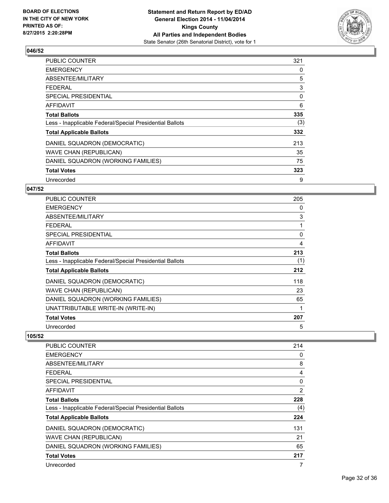

| <b>PUBLIC COUNTER</b>                                    | 321 |
|----------------------------------------------------------|-----|
| <b>EMERGENCY</b>                                         | 0   |
| ABSENTEE/MILITARY                                        | 5   |
| <b>FEDERAL</b>                                           | 3   |
| <b>SPECIAL PRESIDENTIAL</b>                              | 0   |
| AFFIDAVIT                                                | 6   |
| <b>Total Ballots</b>                                     | 335 |
| Less - Inapplicable Federal/Special Presidential Ballots | (3) |
| <b>Total Applicable Ballots</b>                          | 332 |
| DANIEL SQUADRON (DEMOCRATIC)                             | 213 |
| <b>WAVE CHAN (REPUBLICAN)</b>                            | 35  |
| DANIEL SQUADRON (WORKING FAMILIES)                       | 75  |
| <b>Total Votes</b>                                       | 323 |
| Unrecorded                                               | 9   |

# **047/52**

| <b>PUBLIC COUNTER</b>                                    | 205 |
|----------------------------------------------------------|-----|
| <b>EMERGENCY</b>                                         | 0   |
| ABSENTEE/MILITARY                                        | 3   |
| <b>FEDERAL</b>                                           |     |
| <b>SPECIAL PRESIDENTIAL</b>                              | 0   |
| <b>AFFIDAVIT</b>                                         | 4   |
| <b>Total Ballots</b>                                     | 213 |
| Less - Inapplicable Federal/Special Presidential Ballots | (1) |
| <b>Total Applicable Ballots</b>                          | 212 |
| DANIEL SQUADRON (DEMOCRATIC)                             | 118 |
| <b>WAVE CHAN (REPUBLICAN)</b>                            | 23  |
| DANIEL SQUADRON (WORKING FAMILIES)                       | 65  |
| UNATTRIBUTABLE WRITE-IN (WRITE-IN)                       |     |
| <b>Total Votes</b>                                       | 207 |
| Unrecorded                                               | 5   |

| <b>PUBLIC COUNTER</b>                                    | 214            |
|----------------------------------------------------------|----------------|
| <b>EMERGENCY</b>                                         | 0              |
| ABSENTEE/MILITARY                                        | 8              |
| <b>FEDERAL</b>                                           | 4              |
| SPECIAL PRESIDENTIAL                                     | 0              |
| <b>AFFIDAVIT</b>                                         | $\overline{2}$ |
| <b>Total Ballots</b>                                     | 228            |
| Less - Inapplicable Federal/Special Presidential Ballots | (4)            |
| <b>Total Applicable Ballots</b>                          | 224            |
| DANIEL SQUADRON (DEMOCRATIC)                             | 131            |
| <b>WAVE CHAN (REPUBLICAN)</b>                            | 21             |
| DANIEL SQUADRON (WORKING FAMILIES)                       | 65             |
| <b>Total Votes</b>                                       | 217            |
| Unrecorded                                               | 7              |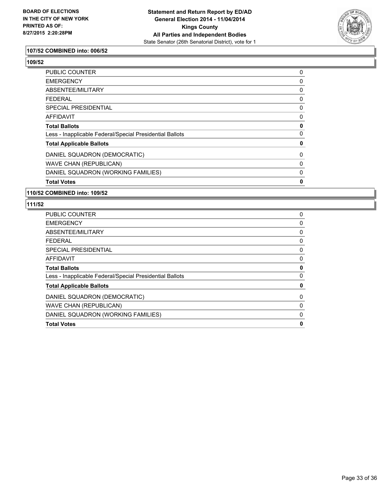

# **107/52 COMBINED into: 006/52**

**109/52** 

| <b>Total Votes</b>                                       | 0 |
|----------------------------------------------------------|---|
| DANIEL SQUADRON (WORKING FAMILIES)                       | 0 |
| WAVE CHAN (REPUBLICAN)                                   | 0 |
| DANIEL SQUADRON (DEMOCRATIC)                             | 0 |
| <b>Total Applicable Ballots</b>                          | 0 |
| Less - Inapplicable Federal/Special Presidential Ballots | 0 |
| <b>Total Ballots</b>                                     | 0 |
| AFFIDAVIT                                                | 0 |
| SPECIAL PRESIDENTIAL                                     | 0 |
| <b>FEDERAL</b>                                           | 0 |
| ABSENTEE/MILITARY                                        | 0 |
| <b>EMERGENCY</b>                                         | 0 |
| PUBLIC COUNTER                                           | 0 |

#### **110/52 COMBINED into: 109/52**

| <b>PUBLIC COUNTER</b>                                    | 0        |
|----------------------------------------------------------|----------|
| <b>EMERGENCY</b>                                         | 0        |
| ABSENTEE/MILITARY                                        | 0        |
| <b>FEDERAL</b>                                           | 0        |
| <b>SPECIAL PRESIDENTIAL</b>                              | 0        |
| <b>AFFIDAVIT</b>                                         | 0        |
| <b>Total Ballots</b>                                     | 0        |
| Less - Inapplicable Federal/Special Presidential Ballots | $\Omega$ |
| <b>Total Applicable Ballots</b>                          | 0        |
| DANIEL SQUADRON (DEMOCRATIC)                             | 0        |
| <b>WAVE CHAN (REPUBLICAN)</b>                            | 0        |
| DANIEL SQUADRON (WORKING FAMILIES)                       | 0        |
| <b>Total Votes</b>                                       | 0        |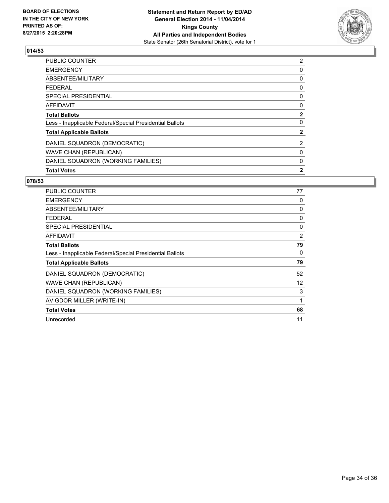

| PUBLIC COUNTER                                           | 2            |
|----------------------------------------------------------|--------------|
| <b>EMERGENCY</b>                                         | 0            |
| ABSENTEE/MILITARY                                        | 0            |
| <b>FEDERAL</b>                                           | 0            |
| <b>SPECIAL PRESIDENTIAL</b>                              | 0            |
| <b>AFFIDAVIT</b>                                         | 0            |
| <b>Total Ballots</b>                                     | $\mathbf{2}$ |
| Less - Inapplicable Federal/Special Presidential Ballots | 0            |
| <b>Total Applicable Ballots</b>                          | 2            |
| DANIEL SQUADRON (DEMOCRATIC)                             | 2            |
| <b>WAVE CHAN (REPUBLICAN)</b>                            | 0            |
| DANIEL SQUADRON (WORKING FAMILIES)                       | 0            |
| <b>Total Votes</b>                                       | $\mathbf{2}$ |
|                                                          |              |

| <b>PUBLIC COUNTER</b>                                    | 77                |
|----------------------------------------------------------|-------------------|
| <b>EMERGENCY</b>                                         | 0                 |
| ABSENTEE/MILITARY                                        | 0                 |
| FEDERAL                                                  | 0                 |
| SPECIAL PRESIDENTIAL                                     | 0                 |
| <b>AFFIDAVIT</b>                                         | 2                 |
| <b>Total Ballots</b>                                     | 79                |
| Less - Inapplicable Federal/Special Presidential Ballots | 0                 |
| <b>Total Applicable Ballots</b>                          | 79                |
| DANIEL SQUADRON (DEMOCRATIC)                             | 52                |
| <b>WAVE CHAN (REPUBLICAN)</b>                            | $12 \overline{ }$ |
| DANIEL SQUADRON (WORKING FAMILIES)                       | 3                 |
| AVIGDOR MILLER (WRITE-IN)                                | 1                 |
| <b>Total Votes</b>                                       | 68                |
| Unrecorded                                               | 11                |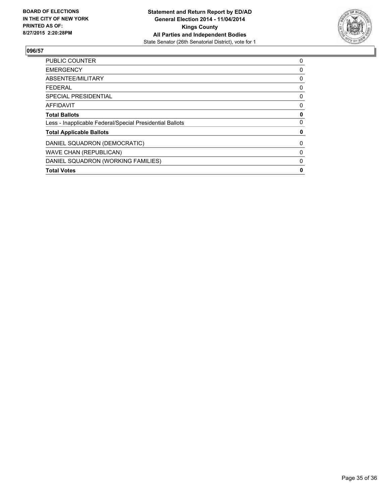

| <b>Total Votes</b>                                       | 0 |
|----------------------------------------------------------|---|
| DANIEL SQUADRON (WORKING FAMILIES)                       | 0 |
| <b>WAVE CHAN (REPUBLICAN)</b>                            | 0 |
| DANIEL SQUADRON (DEMOCRATIC)                             | 0 |
| <b>Total Applicable Ballots</b>                          | 0 |
| Less - Inapplicable Federal/Special Presidential Ballots | 0 |
| <b>Total Ballots</b>                                     | 0 |
| <b>AFFIDAVIT</b>                                         | 0 |
| SPECIAL PRESIDENTIAL                                     | 0 |
| FEDERAL                                                  | 0 |
| ABSENTEE/MILITARY                                        | 0 |
| <b>EMERGENCY</b>                                         | 0 |
| <b>PUBLIC COUNTER</b>                                    | 0 |